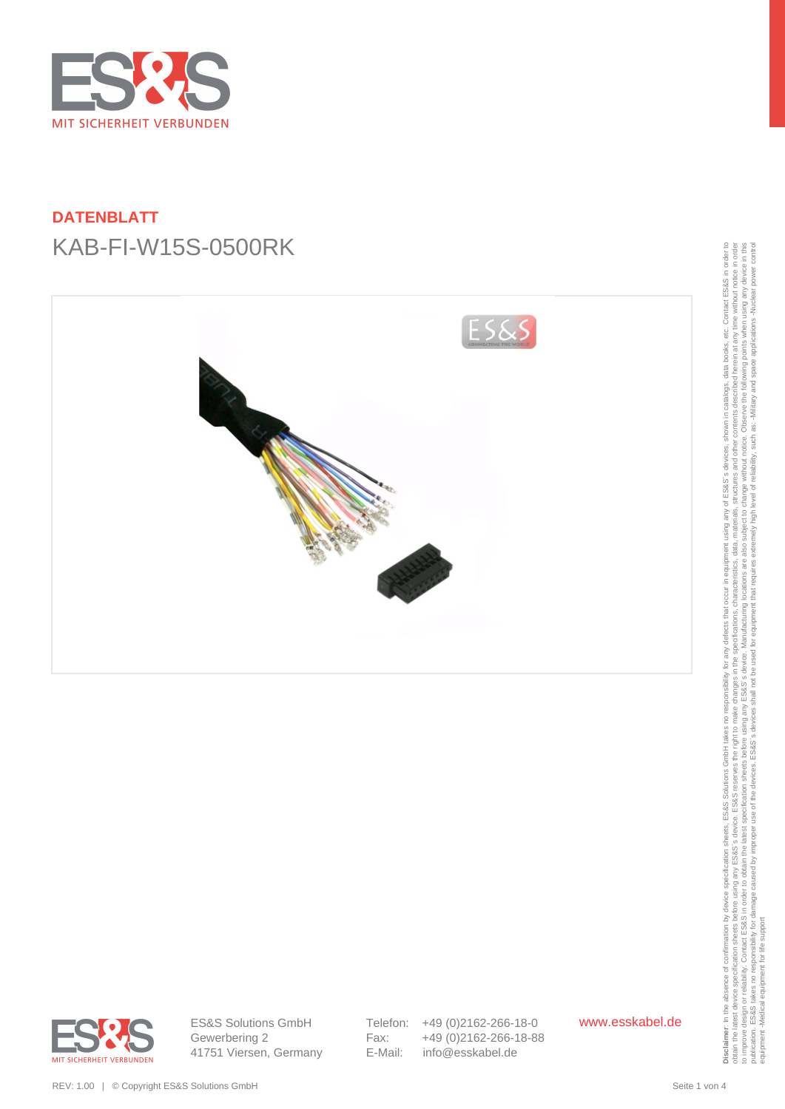

# **DATENBLATT** KAB-FI-W15S-0500RK





ES&S Solutions GmbH Gewerbering 2 41751 Viersen, Germany Telefon: +49 (0)2162-266-18-0 Fax: +49 (0)2162-266-18-88 E-Mail: info@esskabel.de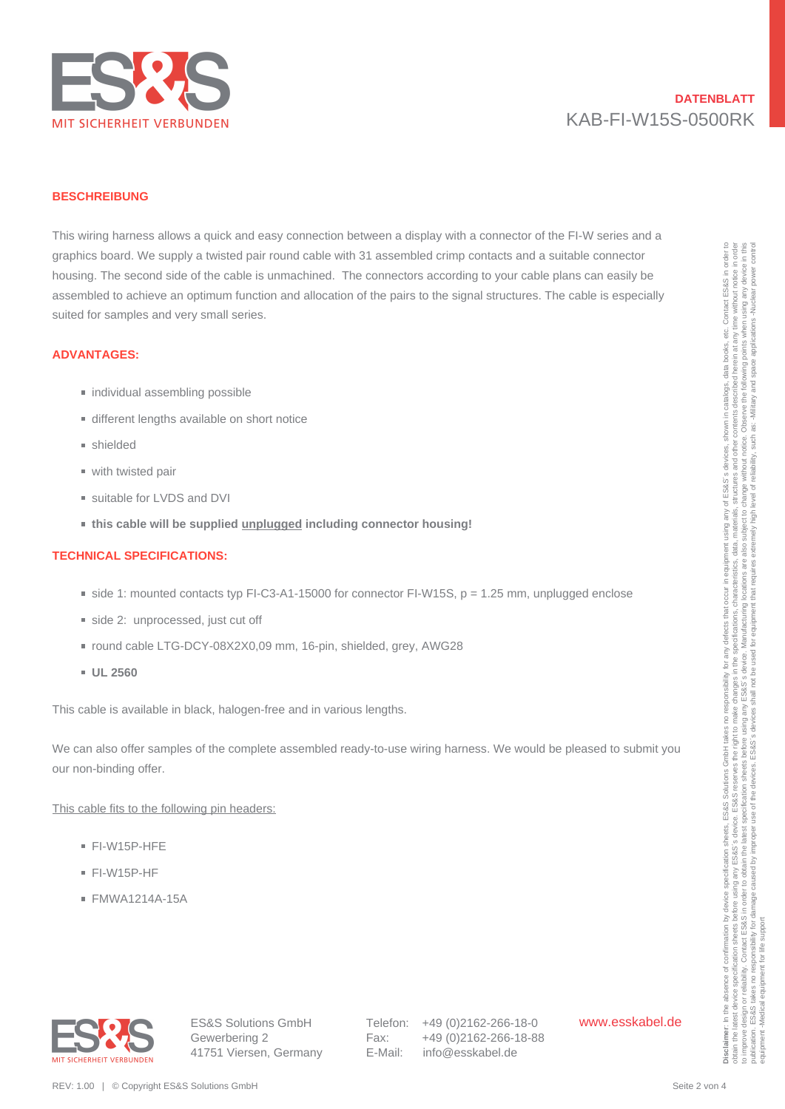

# **DATENBLATT** KAB-FI-W15S-0500RK

#### **BESCHREIBUNG**

This wiring harness allows a quick and easy connection between a display with a connector of the FI-W series and a graphics board. We supply a twisted pair round cable with 31 assembled crimp contacts and a suitable connector housing. The second side of the cable is unmachined. The connectors according to your cable plans can easily be assembled to achieve an optimum function and allocation of the pairs to the signal structures. The cable is especially suited for samples and very small series. speptia boots We supply a boots on the colleirs unrecorded to the wind 3 sustained boots on the substitute one<br>thousing The second side of the colleirs unrecorded The correction of the collection of the paints in the colle

#### **ADVANTAGES:**

- individual assembling possible
- different lengths available on short notice
- shielded
- with twisted pair
- suitable for LVDS and DVI
- **this cable will be supplied unplugged including connector housing!**

### **TECHNICAL SPECIFICATIONS:**

- $\equiv$  side 1: mounted contacts typ FI-C3-A1-15000 for connector FI-W15S, p = 1.25 mm, unplugged enclose
- side 2: unprocessed, just cut off
- round cable LTG-DCY-08X2X0,09 mm, 16-pin, shielded, grey, AWG28
- **UL 2560**

This cable is available in black, halogen-free and in various lengths.

We can also offer samples of the complete assembled ready-to-use wiring harness. We would be pleased to submit you our non-binding offer.

This cable fits to the following pin headers:

- FI-W15P-HFE
- FI-W15P-HF
- FMWA1214A-15A



ES&S Solutions GmbH Gewerbering 2 41751 Viersen, Germany Telefon: +49 (0)2162-266-18-0 Fax: +49 (0)2162-266-18-88 E-Mail: info@esskabel.de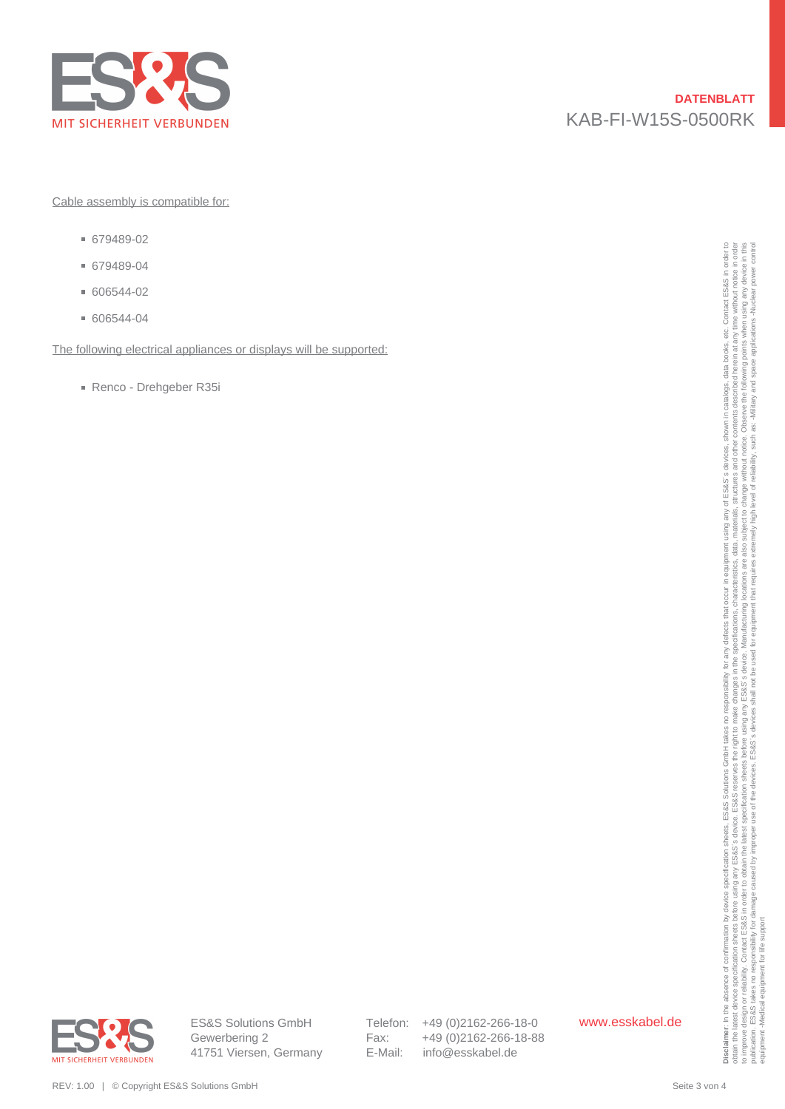

Cable assembly is compatible for:

- 679489-02
- 679489-04
- 606544-02
- 606544-04

The following electrical appliances or displays will be supported:

Renco - Drehgeber R35i



ES&S Solutions GmbH Gewerbering 2 41751 Viersen, Germany Telefon: +49 (0)2162-266-18-0 Fax: +49 (0)2162-266-18-88 E-Mail: info@esskabel.de